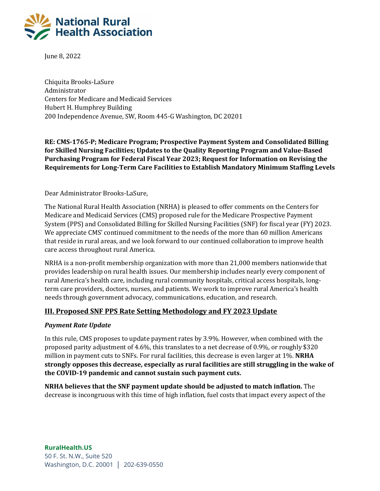

June 8, 2022

Chiquita Brooks-LaSure Administrator Centers for Medicare and Medicaid Services Hubert H. Humphrey Building 200 Independence Avenue, SW, Room 445-G Washington, DC 20201

**RE: CMS-1765-P; Medicare Program; Prospective Payment System and Consolidated Billing for Skilled Nursing Facilities; Updates to the Quality Reporting Program and Value-Based Purchasing Program for Federal Fiscal Year 2023; Request for Information on Revising the Requirements for Long-Term Care Facilities to Establish Mandatory Minimum Staffing Levels** 

### Dear Administrator Brooks-LaSure,

The National Rural Health Association (NRHA) is pleased to offer comments on the Centers for Medicare and Medicaid Services (CMS) proposed rule for the Medicare Prospective Payment System (PPS) and Consolidated Billing for Skilled Nursing Facilities (SNF) for fiscal year (FY) 2023. We appreciate CMS' continued commitment to the needs of the more than 60 million Americans that reside in rural areas, and we look forward to our continued collaboration to improve health care access throughout rural America.

NRHA is a non-profit membership organization with more than 21,000 members nationwide that provides leadership on rural health issues. Our membership includes nearly every component of rural America's health care, including rural community hospitals, critical access hospitals, longterm care providers, doctors, nurses, and patients. We work to improve rural America's health needs through government advocacy, communications, education, and research.

### **III. Proposed SNF PPS Rate Setting Methodology and FY 2023 Update**

### *Payment Rate Update*

In this rule, CMS proposes to update payment rates by 3.9%. However, when combined with the proposed parity adjustment of 4.6%, this translates to a net decrease of 0.9%, or roughly \$320 million in payment cuts to SNFs. For rural facilities, this decrease is even larger at 1%. **NRHA strongly opposes this decrease, especially as rural facilities are still struggling in the wake of the COVID-19 pandemic and cannot sustain such payment cuts.** 

**NRHA believes that the SNF payment update should be adjusted to match inflation.** The decrease is incongruous with this time of high inflation, fuel costs that impact every aspect of the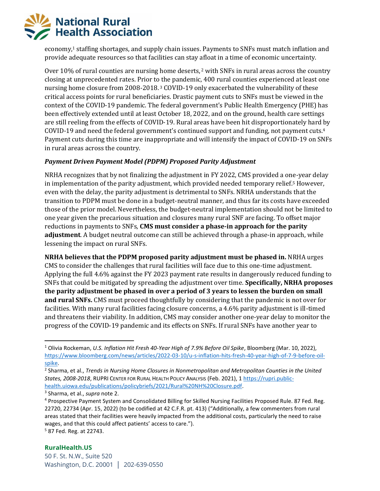

economy,<sup>1</sup> staffing shortages, and supply chain issues. Payments to SNFs must match inflation and provide adequate resources so that facilities can stay afloat in a time of economic uncertainty.

Over 10% of rural counties are nursing home deserts,  $2$  with SNFs in rural areas across the country closing at unprecedented rates. Prior to the pandemic, 400 rural counties experienced at least one nursing home closure from 2008-2018. <sup>3</sup> COVID-19 only exacerbated the vulnerability of these critical access points for rural beneficiaries. Drastic payment cuts to SNFs must be viewed in the context of the COVID-19 pandemic. The federal government's Public Health Emergency (PHE) has been effectively extended until at least October 18, 2022, and on the ground, health care settings are still reeling from the effects of COVID-19. Rural areas have been hit disproportionately hard by COVID-19 and need the federal government's continued support and funding, not payment cuts.<sup>4</sup> Payment cuts during this time are inappropriate and will intensify the impact of COVID-19 on SNFs in rural areas across the country.

### *Payment Driven Payment Model (PDPM) Proposed Parity Adjustment*

NRHA recognizes that by not finalizing the adjustment in FY 2022, CMS provided a one-year delay in implementation of the parity adjustment, which provided needed temporary relief.<sup>5</sup> However, even with the delay, the parity adjustment is detrimental to SNFs. NRHA understands that the transition to PDPM must be done in a budget-neutral manner, and thus far its costs have exceeded those of the prior model. Nevertheless, the budget-neutral implementation should not be limited to one year given the precarious situation and closures many rural SNF are facing. To offset major reductions in payments to SNFs, **CMS must consider a phase-in approach for the parity adjustment**. A budget neutral outcome can still be achieved through a phase-in approach, while lessening the impact on rural SNFs.

**NRHA believes that the PDPM proposed parity adjustment must be phased in.** NRHA urges CMS to consider the challenges that rural facilities will face due to this one-time adjustment. Applying the full 4.6% against the FY 2023 payment rate results in dangerously reduced funding to SNFs that could be mitigated by spreading the adjustment over time. **Specifically, NRHA proposes the parity adjustment be phased in over a period of 3 years to lessen the burden on small and rural SNFs.** CMS must proceed thoughtfully by considering that the pandemic is not over for facilities. With many rural facilities facing closure concerns, a 4.6% parity adjustment is ill-timed and threatens their viability. In addition, CMS may consider another one-year delay to monitor the progress of the COVID-19 pandemic and its effects on SNFs. If rural SNFs have another year to

<sup>5</sup> 87 Fed. Reg. at 22743.

<sup>1</sup> Olivia Rockeman, *U.S. Inflation Hit Fresh 40-Year High of 7.9% Before Oil Spike*, Bloomberg (Mar. 10, 2022), [https://www.bloomberg.com/news/articles/2022-03-10/u-s-inflation-hits-fresh-40-year-high-of-7-9-before-oil](https://www.bloomberg.com/news/articles/2022-03-10/u-s-inflation-hits-fresh-40-year-high-of-7-9-before-oil-spike)[spike.](https://www.bloomberg.com/news/articles/2022-03-10/u-s-inflation-hits-fresh-40-year-high-of-7-9-before-oil-spike)

<sup>2</sup> Sharma, et al., *Trends in Nursing Home Closures in Nonmetropolitan and Metropolitan Counties in the United States, 2008-2018*, RUPRI CENTER FOR RURAL HEALTH POLICY ANALYSIS (Feb. 2021), 1 [https://rupri.public](https://rupri.public-health.uiowa.edu/publications/policybriefs/2021/Rural%20NH%20Closure.pdf)[health.uiowa.edu/publications/policybriefs/2021/Rural%20NH%20Closure.pdf.](https://rupri.public-health.uiowa.edu/publications/policybriefs/2021/Rural%20NH%20Closure.pdf)

<sup>3</sup> Sharma, et al., *supra* note 2.

<sup>4</sup> Prospective Payment System and Consolidated Billing for Skilled Nursing Facilities Proposed Rule. 87 Fed. Reg. 22720, 22734 (Apr. 15, 2022) (to be codified at 42 C.F.R. pt. 413) ("Additionally, a few commenters from rural areas stated that their facilities were heavily impacted from the additional costs, particularly the need to raise wages, and that this could affect patients' access to care.").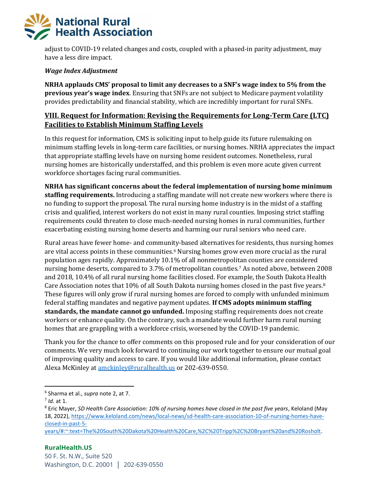adjust to COVID-19 related changes and costs, coupled with a phased-in parity adjustment, may have a less dire impact.

### *Wage Index Adjustment*

**NRHA applauds CMS' proposal to limit any decreases to a SNF's wage index to 5% from the previous year's wage index**. Ensuring that SNFs are not subject to Medicare payment volatility provides predictability and financial stability, which are incredibly important for rural SNFs.

## **VIII. Request for Information: Revising the Requirements for Long-Term Care (LTC) Facilities to Establish Minimum Staffing Levels**

In this request for information, CMS is soliciting input to help guide its future rulemaking on minimum staffing levels in long-term care facilities, or nursing homes. NRHA appreciates the impact that appropriate staffing levels have on nursing home resident outcomes. Nonetheless, rural nursing homes are historically understaffed, and this problem is even more acute given current workforce shortages facing rural communities.

**NRHA has significant concerns about the federal implementation of nursing home minimum staffing requirements.** Introducing a staffing mandate will not create new workers where there is no funding to support the proposal. The rural nursing home industry is in the midst of a staffing crisis and qualified, interest workers do not exist in many rural counties. Imposing strict staffing requirements could threaten to close much-needed nursing homes in rural communities, further exacerbating existing nursing home deserts and harming our rural seniors who need care.

Rural areas have fewer home- and community-based alternatives for residents, thus nursing homes are vital access points in these communities.<sup>6</sup> Nursing homes grow even more crucial as the rural population ages rapidly. Approximately 10.1% of all nonmetropolitan counties are considered nursing home deserts, compared to 3.7% of metropolitan counties.<sup>7</sup> As noted above, between 2008 and 2018, 10.4% of all rural nursing home facilities closed. For example, the South Dakota Health Care Association notes that 10% of all South Dakota nursing homes closed in the past five years.<sup>8</sup> These figures will only grow if rural nursing homes are forced to comply with unfunded minimum federal staffing mandates and negative payment updates. **If CMS adopts minimum staffing standards, the mandate cannot go unfunded.** Imposing staffing requirements does not create workers or enhance quality. On the contrary, such a mandate would further harm rural nursing homes that are grappling with a workforce crisis, worsened by the COVID-19 pandemic.

Thank you for the chance to offer comments on this proposed rule and for your consideration of our comments. We very much look forward to continuing our work together to ensure our mutual goal of improving quality and access to care. If you would like additional information, please contact Alexa McKinley at [amckinley@ruralhealth.us](mailto:amckinley@ruralhealth.us) or 202-639-0550.

[years/#:~:text=The%20South%20Dakota%20Health%20Care,%2C%20Tripp%2C%20Bryant%20and%20Rosholt.](https://www.keloland.com/news/local-news/sd-health-care-association-10-of-nursing-homes-have-closed-in-past-5-years/#:~:text=The%20South%20Dakota%20Health%20Care,%2C%20Tripp%2C%20Bryant%20and%20Rosholt)

<sup>6</sup> Sharma et al., *supra* note 2, at 7.

<sup>7</sup> *Id.* at 1.

<sup>8</sup> Eric Mayer, *SD Health Care Association: 10% of nursing homes have closed in the past five years*, Keloland (May 18, 2022), [https://www.keloland.com/news/local-news/sd-health-care-association-10-of-nursing-homes-have](https://www.keloland.com/news/local-news/sd-health-care-association-10-of-nursing-homes-have-closed-in-past-5-years/#:~:text=The%20South%20Dakota%20Health%20Care,%2C%20Tripp%2C%20Bryant%20and%20Rosholt)[closed-in-past-5-](https://www.keloland.com/news/local-news/sd-health-care-association-10-of-nursing-homes-have-closed-in-past-5-years/#:~:text=The%20South%20Dakota%20Health%20Care,%2C%20Tripp%2C%20Bryant%20and%20Rosholt)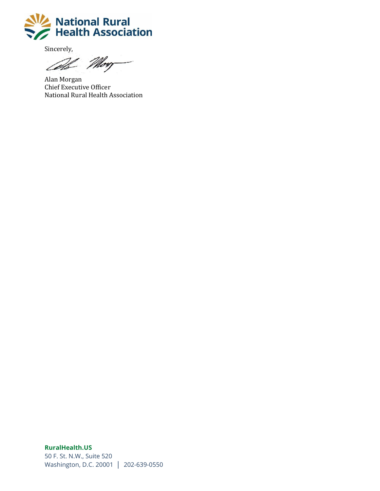

Sincerely,

Al Morg

Alan Morgan Chief Executive Officer National Rural Health Association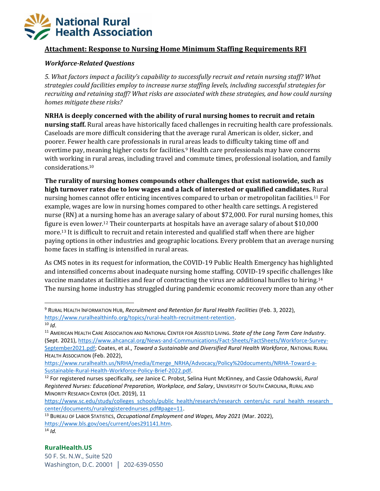## **Attachment: Response to Nursing Home Minimum Staffing Requirements RFI**

### *Workforce-Related Questions*

*5. What factors impact a facility's capability to successfully recruit and retain nursing staff? What strategies could facilities employ to increase nurse staffing levels, including successful strategies for recruiting and retaining staff? What risks are associated with these strategies, and how could nursing homes mitigate these risks?* 

**NRHA is deeply concerned with the ability of rural nursing homes to recruit and retain nursing staff.** Rural areas have historically faced challenges in recruiting health care professionals. Caseloads are more difficult considering that the average rural American is older, sicker, and poorer. Fewer health care professionals in rural areas leads to difficulty taking time off and overtime pay, meaning higher costs for facilities.<sup>9</sup> Health care professionals may have concerns with working in rural areas, including travel and commute times, professional isolation, and family considerations.<sup>10</sup>

**The rurality of nursing homes compounds other challenges that exist nationwide, such as high turnover rates due to low wages and a lack of interested or qualified candidates.** Rural nursing homes cannot offer enticing incentives compared to urban or metropolitan facilities.<sup>11</sup> For example, wages are low in nursing homes compared to other health care settings. A registered nurse (RN) at a nursing home has an average salary of about \$72,000. For rural nursing homes, this figure is even lower.<sup>12</sup> Their counterparts at hospitals have an average salary of about \$10,000 more.<sup>13</sup> It is difficult to recruit and retain interested and qualified staff when there are higher paying options in other industries and geographic locations. Every problem that an average nursing home faces in staffing is intensified in rural areas.

As CMS notes in its request for information, the COVID-19 Public Health Emergency has highlighted and intensified concerns about inadequate nursing home staffing. COVID-19 specific challenges like vaccine mandates at facilities and fear of contracting the virus are additional hurdles to hiring.<sup>14</sup> The nursing home industry has struggled during pandemic economic recovery more than any other

<sup>9</sup> RURAL HEALTH INFORMATION HUB, *Recruitment and Retention for Rural Health Facilities* (Feb. 3, 2022), [https://www.ruralhealthinfo.org/topics/rural-health-recruitment-retention.](https://www.ruralhealthinfo.org/topics/rural-health-recruitment-retention)

 $10$  *Id.* 

<sup>11</sup> AMERICAN HEALTH CARE ASSOCIATION AND NATIONAL CENTER FOR ASSISTED LIVING. *State of the Long Term Care Industry*. (Sept. 2021), [https://www.ahcancal.org/News-and-Communications/Fact-Sheets/FactSheets/Workforce-Survey-](https://www.ahcancal.org/News-and-Communications/Fact-Sheets/FactSheets/Workforce-Survey-September2021.pdf)[September2021.pdf;](https://www.ahcancal.org/News-and-Communications/Fact-Sheets/FactSheets/Workforce-Survey-September2021.pdf) Coates, et al., *Toward a Sustainable and Diversified Rural Health Workforce*, NATIONAL RURAL HEALTH ASSOCIATION (Feb. 2022),

[https://www.ruralhealth.us/NRHA/media/Emerge\\_NRHA/Advocacy/Policy%20documents/NRHA-Toward-a-](https://www.ruralhealth.us/NRHA/media/Emerge_NRHA/Advocacy/Policy%20documents/NRHA-Toward-a-Sustainable-Rural-Health-Workforce-Policy-Brief-2022.pdf)[Sustainable-Rural-Health-Workforce-Policy-Brief-2022.pdf.](https://www.ruralhealth.us/NRHA/media/Emerge_NRHA/Advocacy/Policy%20documents/NRHA-Toward-a-Sustainable-Rural-Health-Workforce-Policy-Brief-2022.pdf)

<sup>12</sup> For registered nurses specifically, *see* Janice C. Probst, Selina Hunt McKinney, and Cassie Odahowski, *Rural Registered Nurses: Educational Preparation, Workplace, and Salary*, UNIVERSITY OF SOUTH CAROLINA, RURAL AND MINORITY RESEARCH CENTER (Oct. 2019), 11

[https://www.sc.edu/study/colleges\\_schools/public\\_health/research/research\\_centers/sc\\_rural\\_health\\_research\\_](https://www.sc.edu/study/colleges_schools/public_health/research/research_centers/sc_rural_health_research_center/documents/ruralregisterednurses.pdf#page=11) [center/documents/ruralregisterednurses.pdf#page=11.](https://www.sc.edu/study/colleges_schools/public_health/research/research_centers/sc_rural_health_research_center/documents/ruralregisterednurses.pdf#page=11)

<sup>13</sup> BUREAU OF LABOR STATISTICS, *Occupational Employment and Wages, May 2021* (Mar. 2022), [https://www.bls.gov/oes/current/oes291141.htm.](https://www.bls.gov/oes/current/oes291141.htm)  $14$  *Id.*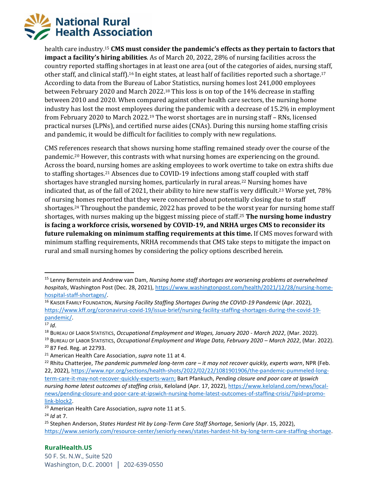

health care industry.<sup>15</sup> **CMS must consider the pandemic's effects as they pertain to factors that impact a facility's hiring abilities**. As of March 20, 2022, 28% of nursing facilities across the country reported staffing shortages in at least one area (out of the categories of aides, nursing staff, other staff, and clinical staff).<sup>16</sup> In eight states, at least half of facilities reported such a shortage.<sup>17</sup> According to data from the Bureau of Labor Statistics, nursing homes lost 241,000 employees between February 2020 and March 2022.<sup>18</sup> This loss is on top of the 14% decrease in staffing between 2010 and 2020. When compared against other health care sectors, the nursing home industry has lost the most employees during the pandemic with a decrease of 15.2% in employment from February 2020 to March 2022.<sup>19</sup> The worst shortages are in nursing staff – RNs, licensed practical nurses (LPNs), and certified nurse aides (CNAs). During this nursing home staffing crisis and pandemic, it would be difficult for facilities to comply with new regulations.

CMS references research that shows nursing home staffing remained steady over the course of the pandemic.<sup>20</sup> However, this contrasts with what nursing homes are experiencing on the ground. Across the board, nursing homes are asking employees to work overtime to take on extra shifts due to staffing shortages.<sup>21</sup> Absences due to COVID-19 infections among staff coupled with staff shortages have strangled nursing homes, particularly in rural areas.<sup>22</sup> Nursing homes have indicated that, as of the fall of 2021, their ability to hire new staff is very difficult.<sup>23</sup> Worse yet, 78% of nursing homes reported that they were concerned about potentially closing due to staff shortages.<sup>24</sup> Throughout the pandemic, 2022 has proved to be the worst year for nursing home staff shortages, with nurses making up the biggest missing piece of staff.<sup>25</sup> **The nursing home industry is facing a workforce crisis, worsened by COVID-19, and NRHA urges CMS to reconsider its future rulemaking on minimum staffing requirements at this time.** If CMS moves forward with minimum staffing requirements, NRHA recommends that CMS take steps to mitigate the impact on rural and small nursing homes by considering the policy options described herein.

<sup>15</sup> Lenny Bernstein and Andrew van Dam, *Nursing home staff shortages are worsening problems at overwhelmed hospitals*, Washington Post (Dec. 28, 2021), [https://www.washingtonpost.com/health/2021/12/28/nursing-home](https://www.washingtonpost.com/health/2021/12/28/nursing-home-hospital-staff-shortages/)[hospital-staff-shortages/.](https://www.washingtonpost.com/health/2021/12/28/nursing-home-hospital-staff-shortages/)

<sup>16</sup> KAISER FAMILY FOUNDATION, *Nursing Facility Staffing Shortages During the COVID-19 Pandemic* (Apr. 2022), [https://www.kff.org/coronavirus-covid-19/issue-brief/nursing-facility-staffing-shortages-during-the-covid-19](https://www.kff.org/coronavirus-covid-19/issue-brief/nursing-facility-staffing-shortages-during-the-covid-19-pandemic/) [pandemic/.](https://www.kff.org/coronavirus-covid-19/issue-brief/nursing-facility-staffing-shortages-during-the-covid-19-pandemic/)

 $17$  *Id.* 

<sup>18</sup> BUREAU OF LABOR STATISTICS, *Occupational Employment and Wages, January 2020 - March 2022*, (Mar. 2022).

<sup>&</sup>lt;sup>19</sup> BUREAU OF LABOR STATISTICS, *Occupational Employment and Wage Data, February 2020 – March 2022*, (Mar. 2022). <sup>20</sup> 87 Fed. Reg. at 22793.

<sup>21</sup> American Health Care Association, *supra* note 11 at 4.

<sup>22</sup> Rhitu Chatterjee, *The pandemic pummeled long-term care – it may not recover quickly, experts warn*, NPR (Feb. 22, 2022), [https://www.npr.org/sections/health-shots/2022/02/22/1081901906/the-pandemic-pummeled-long](https://www.npr.org/sections/health-shots/2022/02/22/1081901906/the-pandemic-pummeled-long-term-care-it-may-not-recover-quickly-experts-warn;)[term-care-it-may-not-recover-quickly-experts-warn;](https://www.npr.org/sections/health-shots/2022/02/22/1081901906/the-pandemic-pummeled-long-term-care-it-may-not-recover-quickly-experts-warn;) Bart Pfankuch, *Pending closure and poor care at Ipswich nursing home latest outcomes of staffing crisis*, Keloland (Apr. 17, 2022), [https://www.keloland.com/news/local](https://www.keloland.com/news/local-news/pending-closure-and-poor-care-at-ipswich-nursing-home-latest-outcomes-of-staffing-crisis/?ipid=promo-link-block2)[news/pending-closure-and-poor-care-at-ipswich-nursing-home-latest-outcomes-of-staffing-crisis/?ipid=promo](https://www.keloland.com/news/local-news/pending-closure-and-poor-care-at-ipswich-nursing-home-latest-outcomes-of-staffing-crisis/?ipid=promo-link-block2)[link-block2.](https://www.keloland.com/news/local-news/pending-closure-and-poor-care-at-ipswich-nursing-home-latest-outcomes-of-staffing-crisis/?ipid=promo-link-block2)

<sup>23</sup> American Health Care Association, *supra* note 11 at 5.

<sup>24</sup> *Id* at 7.

<sup>25</sup> Stephen Anderson, *States Hardest Hit by Long-Term Care Staff Shortage*, Seniorly (Apr. 15, 2022), [https://www.seniorly.com/resource-center/seniorly-news/states-hardest-hit-by-long-term-care-staffing-shortage.](https://www.seniorly.com/resource-center/seniorly-news/states-hardest-hit-by-long-term-care-staffing-shortage)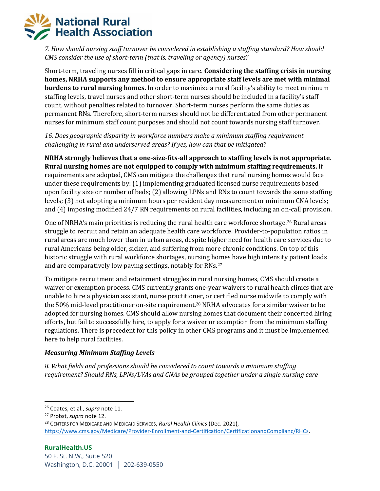*7. How should nursing staff turnover be considered in establishing a staffing standard? How should CMS consider the use of short-term (that is, traveling or agency) nurses?* 

Short-term, traveling nurses fill in critical gaps in care. **Considering the staffing crisis in nursing homes, NRHA supports any method to ensure appropriate staff levels are met with minimal burdens to rural nursing homes.** In order to maximize a rural facility's ability to meet minimum staffing levels, travel nurses and other short-term nurses should be included in a facility's staff count, without penalties related to turnover. Short-term nurses perform the same duties as permanent RNs. Therefore, short-term nurses should not be differentiated from other permanent nurses for minimum staff count purposes and should not count towards nursing staff turnover.

*16. Does geographic disparity in workforce numbers make a minimum staffing requirement challenging in rural and underserved areas? If yes, how can that be mitigated?*

**NRHA strongly believes that a one-size-fits-all approach to staffing levels is not appropriate**. **Rural nursing homes are not equipped to comply with minimum staffing requirements.** If requirements are adopted, CMS can mitigate the challenges that rural nursing homes would face under these requirements by: (1) implementing graduated licensed nurse requirements based upon facility size or number of beds; (2) allowing LPNs and RNs to count towards the same staffing levels; (3) not adopting a minimum hours per resident day measurement or minimum CNA levels; and (4) imposing modified 24/7 RN requirements on rural facilities, including an on-call provision.

One of NRHA's main priorities is reducing the rural health care workforce shortage.<sup>26</sup> Rural areas struggle to recruit and retain an adequate health care workforce. Provider-to-population ratios in rural areas are much lower than in urban areas, despite higher need for health care services due to rural Americans being older, sicker, and suffering from more chronic conditions. On top of this historic struggle with rural workforce shortages, nursing homes have high intensity patient loads and are comparatively low paying settings, notably for RNs.<sup>27</sup>

To mitigate recruitment and retainment struggles in rural nursing homes, CMS should create a waiver or exemption process. CMS currently grants one-year waivers to rural health clinics that are unable to hire a physician assistant, nurse practitioner, or certified nurse midwife to comply with the 50% mid-level practitioner on-site requirement.<sup>28</sup> NRHA advocates for a similar waiver to be adopted for nursing homes. CMS should allow nursing homes that document their concerted hiring efforts, but fail to successfully hire, to apply for a waiver or exemption from the minimum staffing regulations. There is precedent for this policy in other CMS programs and it must be implemented here to help rural facilities.

## *Measuring Minimum Staffing Levels*

*8. What fields and professions should be considered to count towards a minimum staffing requirement? Should RNs, LPNs/LVAs and CNAs be grouped together under a single nursing care* 

<sup>26</sup> Coates, et al., *supra* note 11.

<sup>27</sup> Probst, *supra* note 12.

<sup>28</sup> CENTERS FOR MEDICARE AND MEDICAID SERVICES, *Rural Health Clinics* (Dec. 2021), [https://www.cms.gov/Medicare/Provider-Enrollment-and-Certification/CertificationandComplianc/RHCs.](https://www.cms.gov/Medicare/Provider-Enrollment-and-Certification/CertificationandComplianc/RHCs)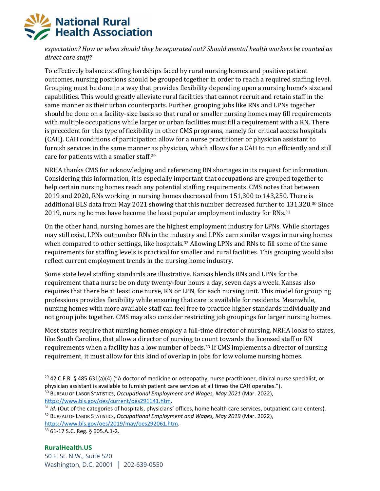*expectation? How or when should they be separated out? Should mental health workers be counted as direct care staff?* 

To effectively balance staffing hardships faced by rural nursing homes and positive patient outcomes, nursing positions should be grouped together in order to reach a required staffing level. Grouping must be done in a way that provides flexibility depending upon a nursing home's size and capabilities. This would greatly alleviate rural facilities that cannot recruit and retain staff in the same manner as their urban counterparts. Further, grouping jobs like RNs and LPNs together should be done on a facility-size basis so that rural or smaller nursing homes may fill requirements with multiple occupations while larger or urban facilities must fill a requirement with a RN. There is precedent for this type of flexibility in other CMS programs, namely for critical access hospitals (CAH). CAH conditions of participation allow for a nurse practitioner or physician assistant to furnish services in the same manner as physician, which allows for a CAH to run efficiently and still care for patients with a smaller staff.<sup>29</sup>

NRHA thanks CMS for acknowledging and referencing RN shortages in its request for information. Considering this information, it is especially important that occupations are grouped together to help certain nursing homes reach any potential staffing requirements. CMS notes that between 2019 and 2020, RNs working in nursing homes decreased from 151,300 to 143,250. There is additional BLS data from May 2021 showing that this number decreased further to 131,320.<sup>30</sup> Since 2019, nursing homes have become the least popular employment industry for RNs.<sup>31</sup>

On the other hand, nursing homes are the highest employment industry for LPNs. While shortages may still exist, LPNs outnumber RNs in the industry and LPNs earn similar wages in nursing homes when compared to other settings, like hospitals.<sup>32</sup> Allowing LPNs and RNs to fill some of the same requirements for staffing levels is practical for smaller and rural facilities. This grouping would also reflect current employment trends in the nursing home industry.

Some state level staffing standards are illustrative. Kansas blends RNs and LPNs for the requirement that a nurse be on duty twenty-four hours a day, seven days a week. Kansas also requires that there be at least one nurse, RN or LPN, for each nursing unit. This model for grouping professions provides flexibility while ensuring that care is available for residents. Meanwhile, nursing homes with more available staff can feel free to practice higher standards individually and not group jobs together. CMS may also consider restricting job groupings for larger nursing homes.

Most states require that nursing homes employ a full-time director of nursing. NRHA looks to states, like South Carolina, that allow a director of nursing to count towards the licensed staff or RN requirements when a facility has a low number of beds.<sup>33</sup> If CMS implements a director of nursing requirement, it must allow for this kind of overlap in jobs for low volume nursing homes.

[https://www.bls.gov/oes/2019/may/oes292061.htm.](https://www.bls.gov/oes/2019/may/oes292061.htm) <sup>33</sup> 61-17 S.C. Reg. § 605.A.1-2.

<sup>&</sup>lt;sup>29</sup> 42 C.F.R. § 485.631(a)(4) ("A doctor of medicine or osteopathy, nurse practitioner, clinical nurse specialist, or physician assistant is available to furnish patient care services at all times the CAH operates.").

<sup>30</sup> BUREAU OF LABOR STATISTICS, *Occupational Employment and Wages, May 2021* (Mar. 2022), [https://www.bls.gov/oes/current/oes291141.htm.](https://www.bls.gov/oes/current/oes291141.htm)

<sup>&</sup>lt;sup>31</sup> *Id*. (Out of the categories of hospitals, physicians' offices, home health care services, outpatient care centers). <sup>32</sup> BUREAU OF LABOR STATISTICS, *Occupational Employment and Wages, May 2019* (Mar. 2022),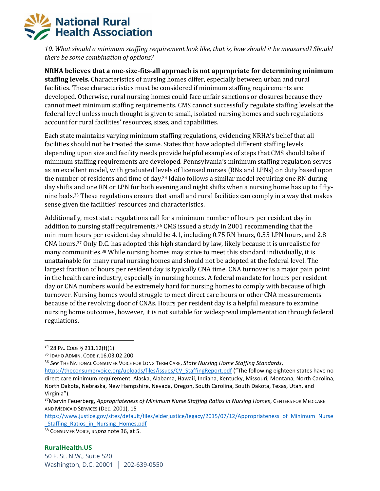

*10. What should a minimum staffing requirement look like, that is, how should it be measured? Should there be some combination of options?* 

**NRHA believes that a one-size-fits-all approach is not appropriate for determining minimum staffing levels.** Characteristics of nursing homes differ, especially between urban and rural facilities. These characteristics must be considered if minimum staffing requirements are developed. Otherwise, rural nursing homes could face unfair sanctions or closures because they cannot meet minimum staffing requirements. CMS cannot successfully regulate staffing levels at the federal level unless much thought is given to small, isolated nursing homes and such regulations account for rural facilities' resources, sizes, and capabilities.

Each state maintains varying minimum staffing regulations, evidencing NRHA's belief that all facilities should not be treated the same. States that have adopted different staffing levels depending upon size and facility needs provide helpful examples of steps that CMS should take if minimum staffing requirements are developed. Pennsylvania's minimum staffing regulation serves as an excellent model, with graduated levels of licensed nurses (RNs and LPNs) on duty based upon the number of residents and time of day.<sup>34</sup> Idaho follows a similar model requiring one RN during day shifts and one RN or LPN for both evening and night shifts when a nursing home has up to fiftynine beds.<sup>35</sup> These regulations ensure that small and rural facilities can comply in a way that makes sense given the facilities' resources and characteristics.

Additionally, most state regulations call for a minimum number of hours per resident day in addition to nursing staff requirements.<sup>36</sup> CMS issued a study in 2001 recommending that the minimum hours per resident day should be 4.1, including 0.75 RN hours, 0.55 LPN hours, and 2.8 CNA hours.<sup>37</sup> Only D.C. has adopted this high standard by law, likely because it is unrealistic for many communities. <sup>38</sup> While nursing homes may strive to meet this standard individually, it is unattainable for many rural nursing homes and should not be adopted at the federal level. The largest fraction of hours per resident day is typically CNA time. CNA turnover is a major pain point in the health care industry, especially in nursing homes. A federal mandate for hours per resident day or CNA numbers would be extremely hard for nursing homes to comply with because of high turnover. Nursing homes would struggle to meet direct care hours or other CNA measurements because of the revolving door of CNAs. Hours per resident day is a helpful measure to examine nursing home outcomes, however, it is not suitable for widespread implementation through federal regulations.

[https://www.justice.gov/sites/default/files/elderjustice/legacy/2015/07/12/Appropriateness\\_of\\_Minimum\\_Nurse](https://www.justice.gov/sites/default/files/elderjustice/legacy/2015/07/12/Appropriateness_of_Minimum_Nurse_Staffing_Ratios_in_Nursing_Homes.pdf) Staffing Ratios in Nursing Homes.pdf

<sup>34</sup> 28 PA. CODE § 211.12(f)(1).

<sup>35</sup> IDAHO ADMIN. CODE r.16.03.02.200.

<sup>36</sup> *See* THE NATIONAL CONSUMER VOICE FOR LONG TERM CARE, *State Nursing Home Staffing Standards*, [https://theconsumervoice.org/uploads/files/issues/CV\\_StaffingReport.pdf](https://theconsumervoice.org/uploads/files/issues/CV_StaffingReport.pdf) ("The following eighteen states have no direct care minimum requirement: Alaska, Alabama, Hawaii, Indiana, Kentucky, Missouri, Montana, North Carolina, North Dakota, Nebraska, New Hampshire, Nevada, Oregon, South Carolina, South Dakota, Texas, Utah, and Virginia").

<sup>37</sup>Marvin Feuerberg, *Appropriateness of Minimum Nurse Staffing Ratios in Nursing Homes*, CENTERS FOR MEDICARE AND MEDICAID SERVICES (Dec. 2001), 15

<sup>38</sup> CONSUMER VOICE, *supra* note 36, at 5.